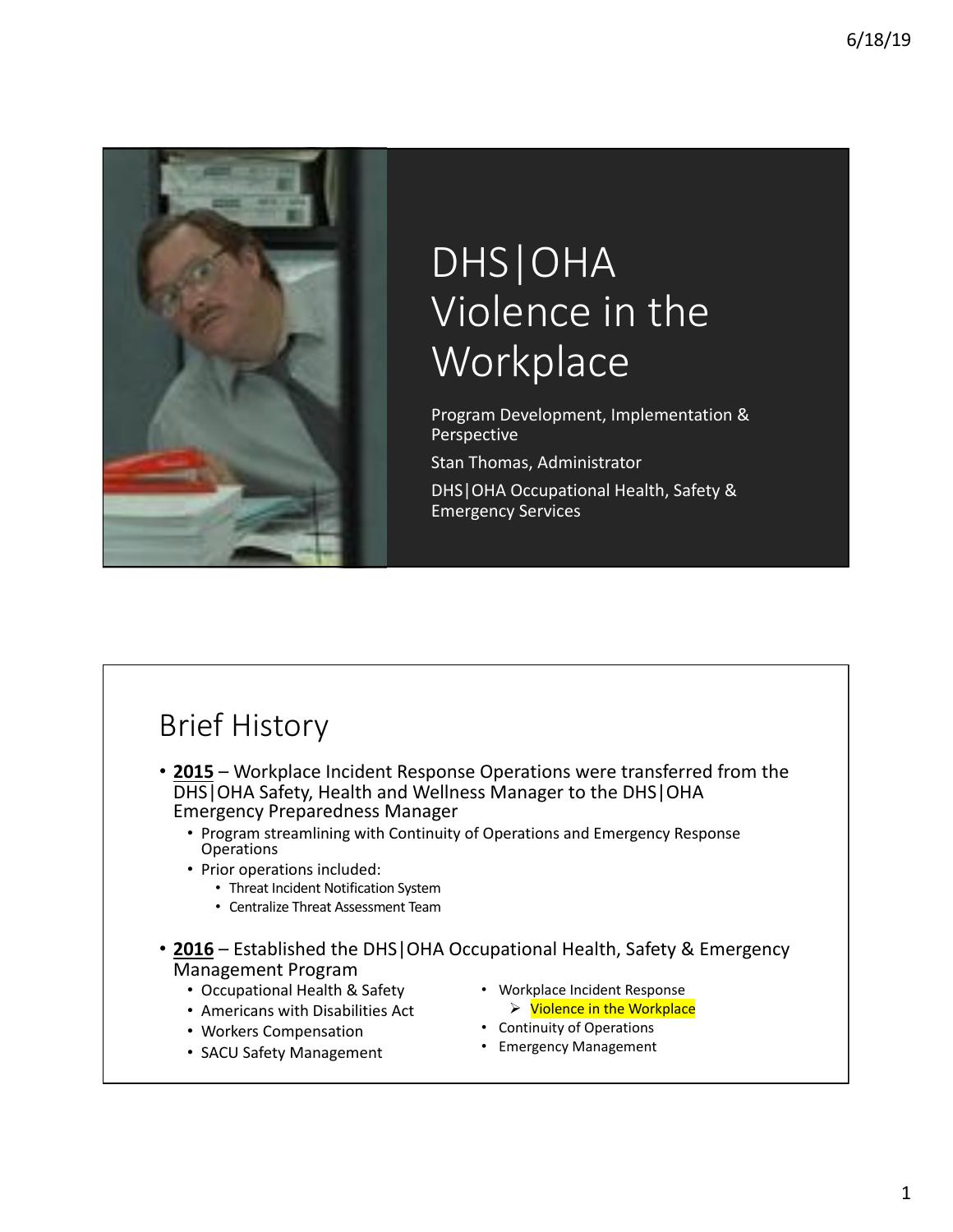

# DHS|OHA Violence in the **Workplace**

Program Development, Implementation & Perspective

Stan Thomas, Administrator DHS | OHA Occupational Health, Safety & Emergency Services

## **Brief History**

- 2015 Workplace Incident Response Operations were transferred from the DHS | OHA Safety, Health and Wellness Manager to the DHS | OHA Emergency Preparedness Manager
	- Program streamlining with Continuity of Operations and Emergency Response Operations
	- Prior operations included:
		- Threat Incident Notification System
		- Centralize Threat Assessment Team
- 2016 Established the DHS|OHA Occupational Health, Safety & Emergency Management Program
	- Occupational Health & Safety
	- Americans with Disabilities Act
	- Workers Compensation
	- SACU Safety Management
- Workplace Incident Response  $\triangleright$  Violence in the Workplace
- Continuity of Operations
- Emergency Management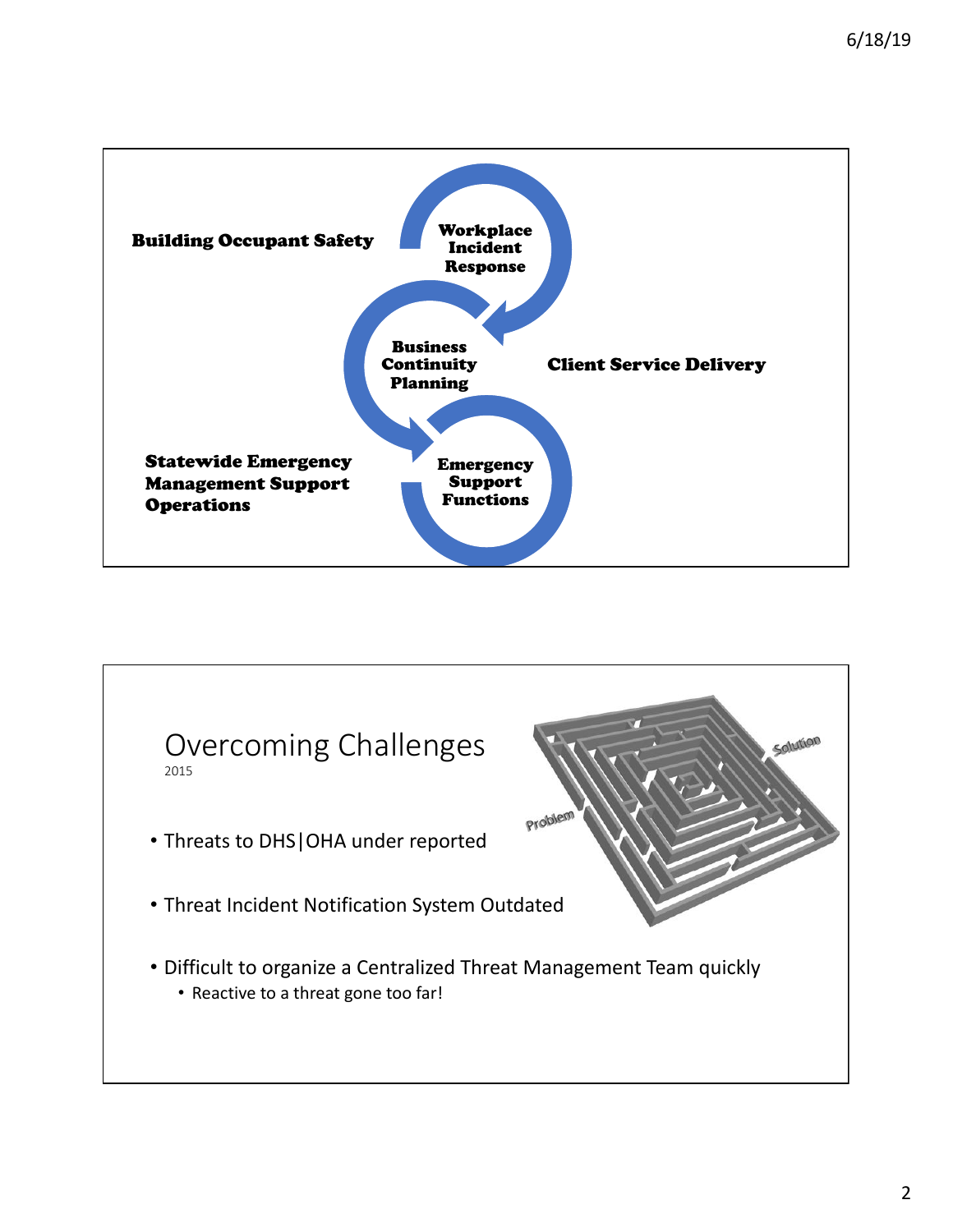

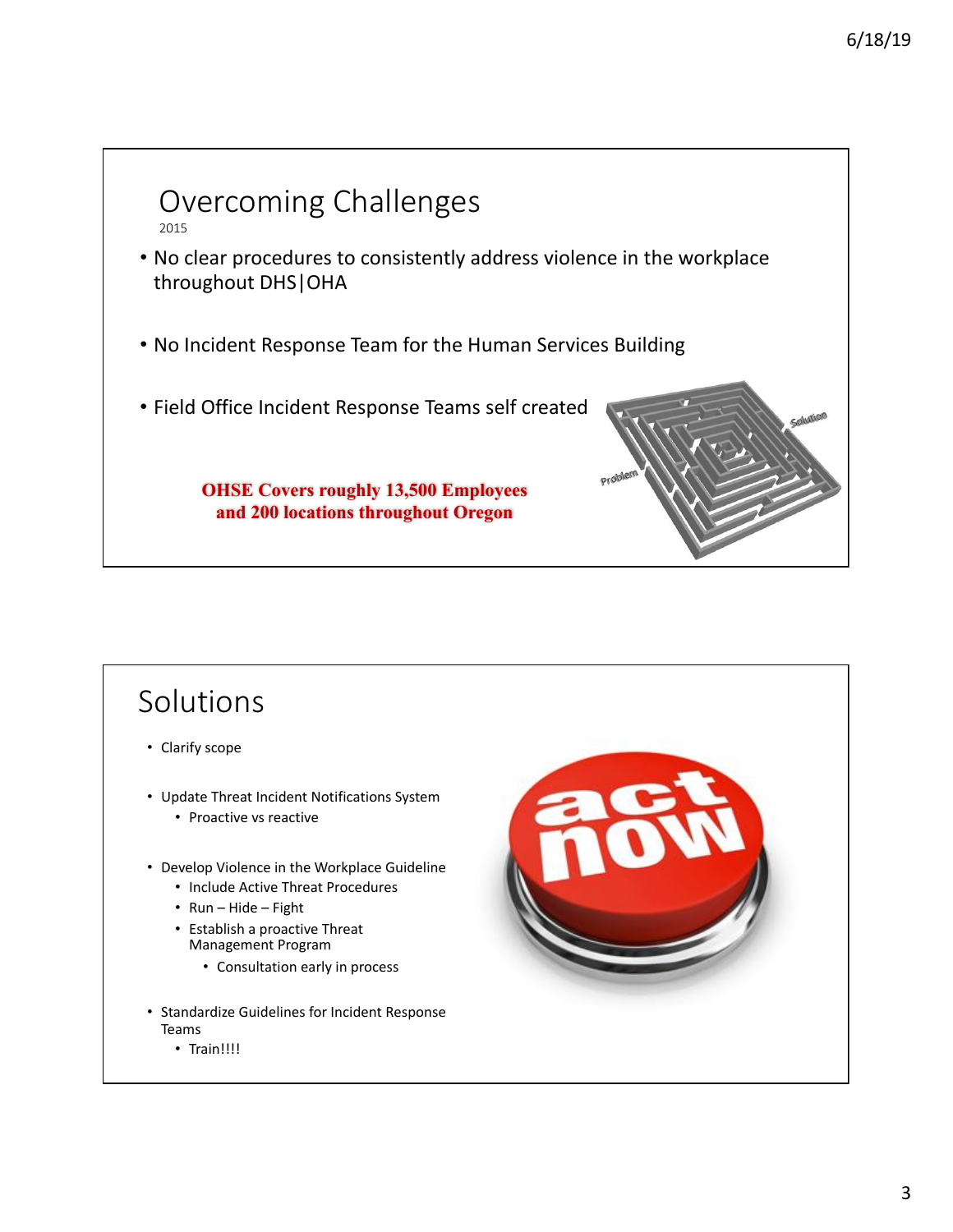

#### Solutions • Clarify scope • Update Threat Incident Notifications System • Proactive vs reactive • Develop Violence in the Workplace Guideline • Include Active Threat Procedures • Run – Hide – Fight • Establish a proactive Threat Management Program • Consultation early in process • Standardize Guidelines for Incident Response Teams • Train!!!!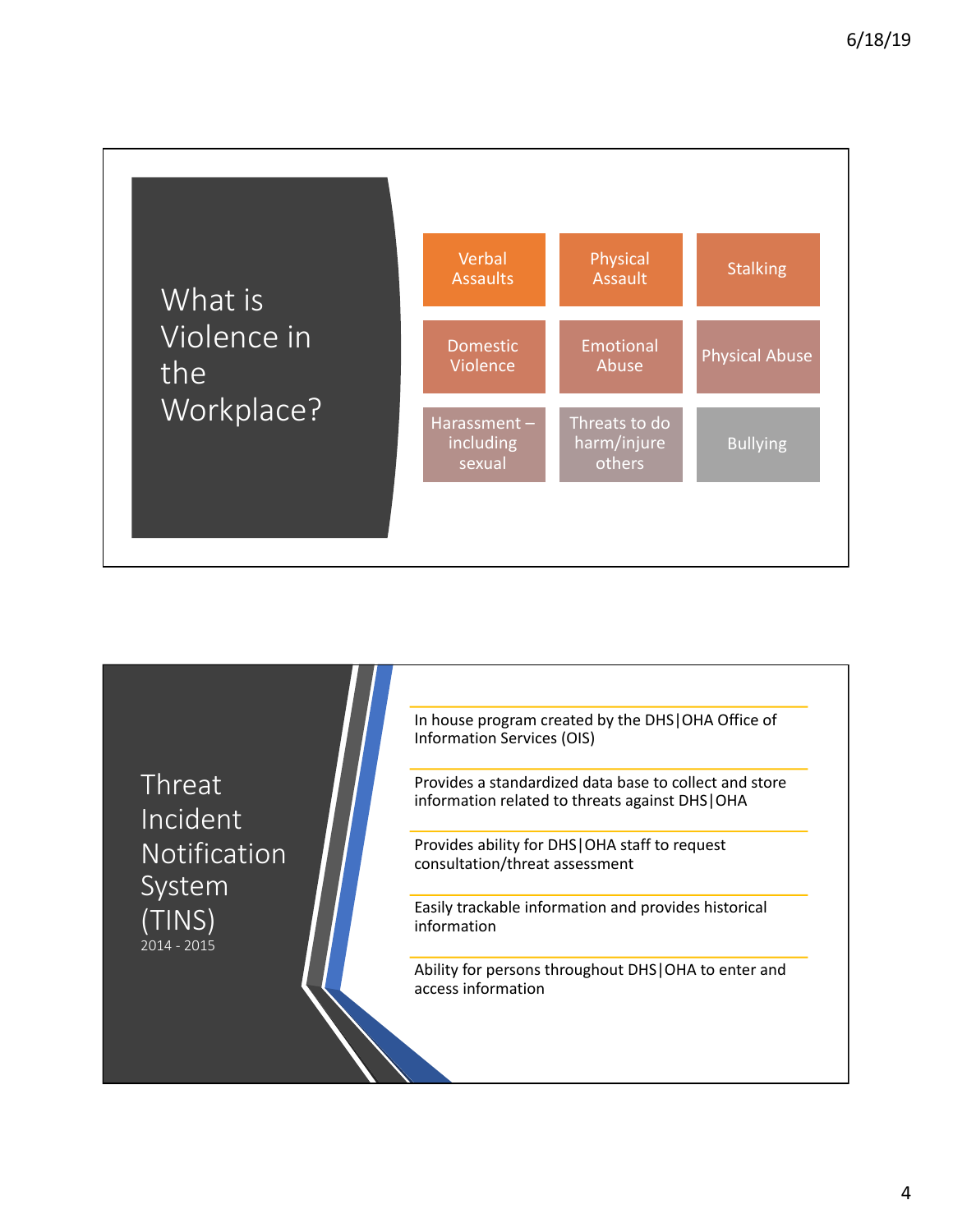

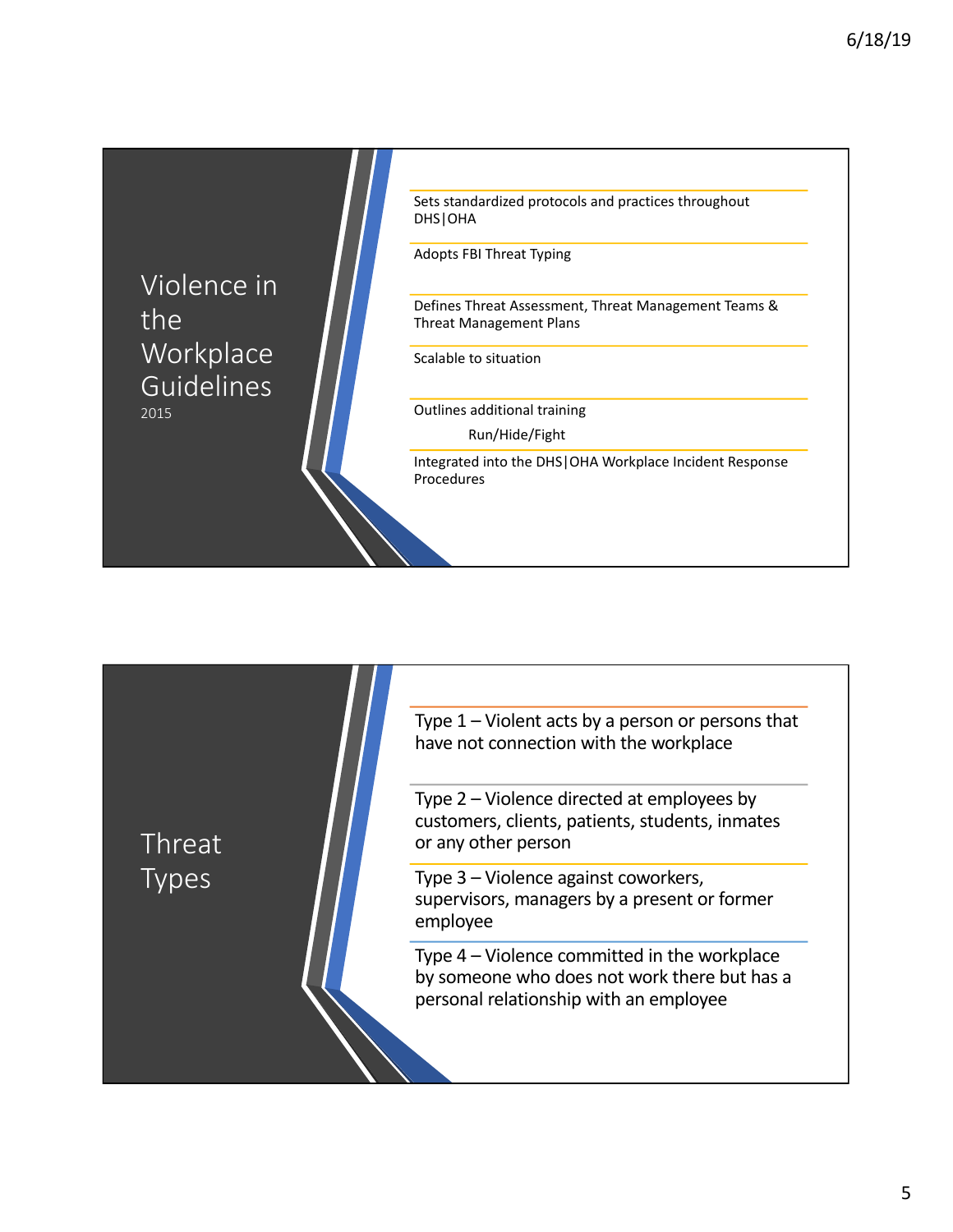Violence in the **Workplace** Guidelines 2015 Sets standardized protocols and practices throughout DHS|OHA Adopts FBI Threat Typing Defines Threat Assessment, Threat Management Teams & Threat Management Plans Scalable to situation Outlines additional training Run/Hide/Fight Integrated into the DHS|OHA Workplace Incident Response Procedures 

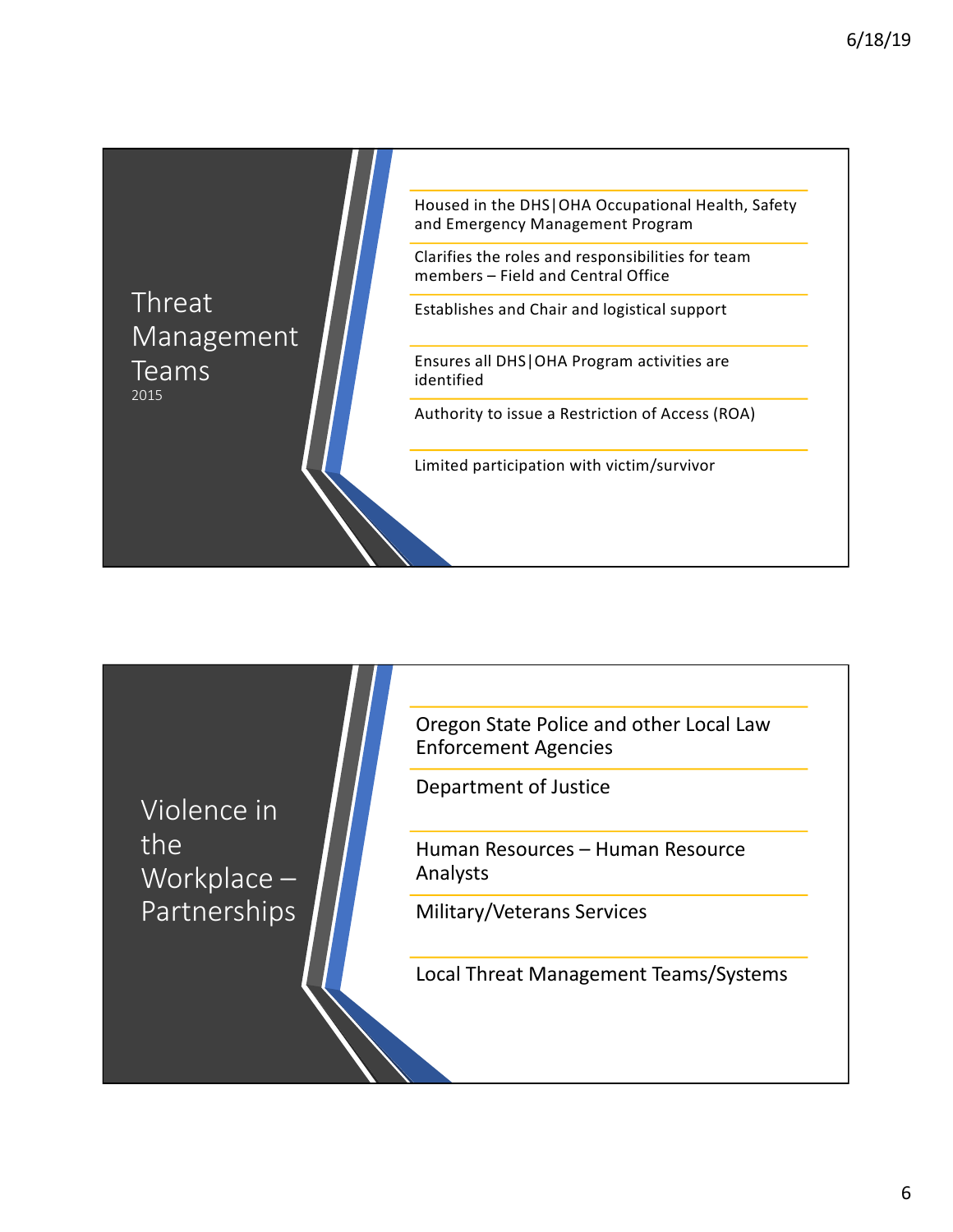Threat Management Teams 2015

Housed in the DHS|OHA Occupational Health, Safety and Emergency Management Program

Clarifies the roles and responsibilities for team members  $-$  Field and Central Office

Establishes and Chair and logistical support

Ensures all DHS|OHA Program activities are identified 

Authority to issue a Restriction of Access (ROA)

Limited participation with victim/survivor

Violence in the Workplace -Partnerships Oregon State Police and other Local Law Enforcement Agencies

Department of Justice

Human Resources – Human Resource Analysts

Military/Veterans Services

Local Threat Management Teams/Systems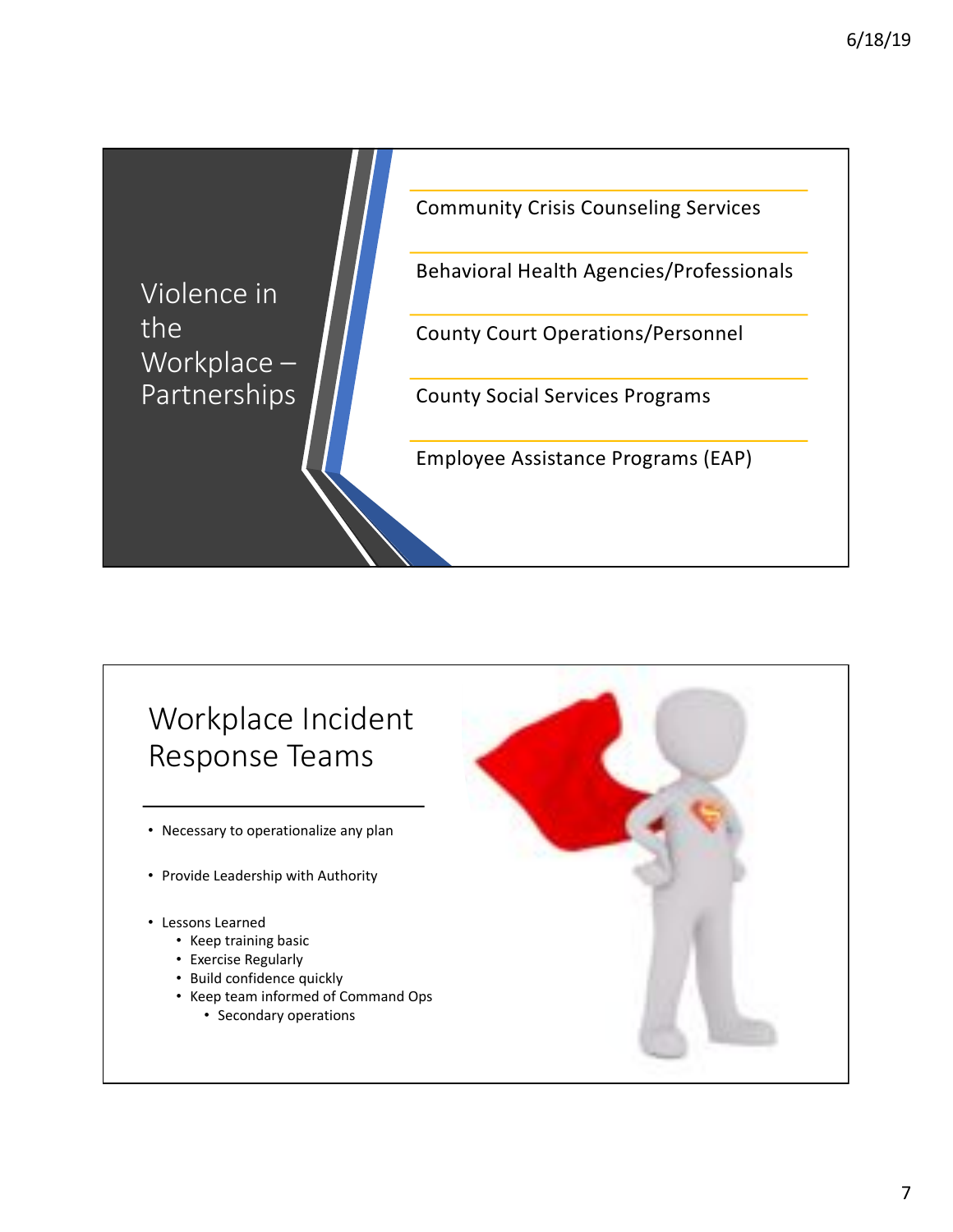

## Workplace Incident Response Teams

- Necessary to operationalize any plan
- Provide Leadership with Authority
- Lessons Learned
	- Keep training basic
	- Exercise Regularly
	- Build confidence quickly
	- Keep team informed of Command Ops
		- Secondary operations

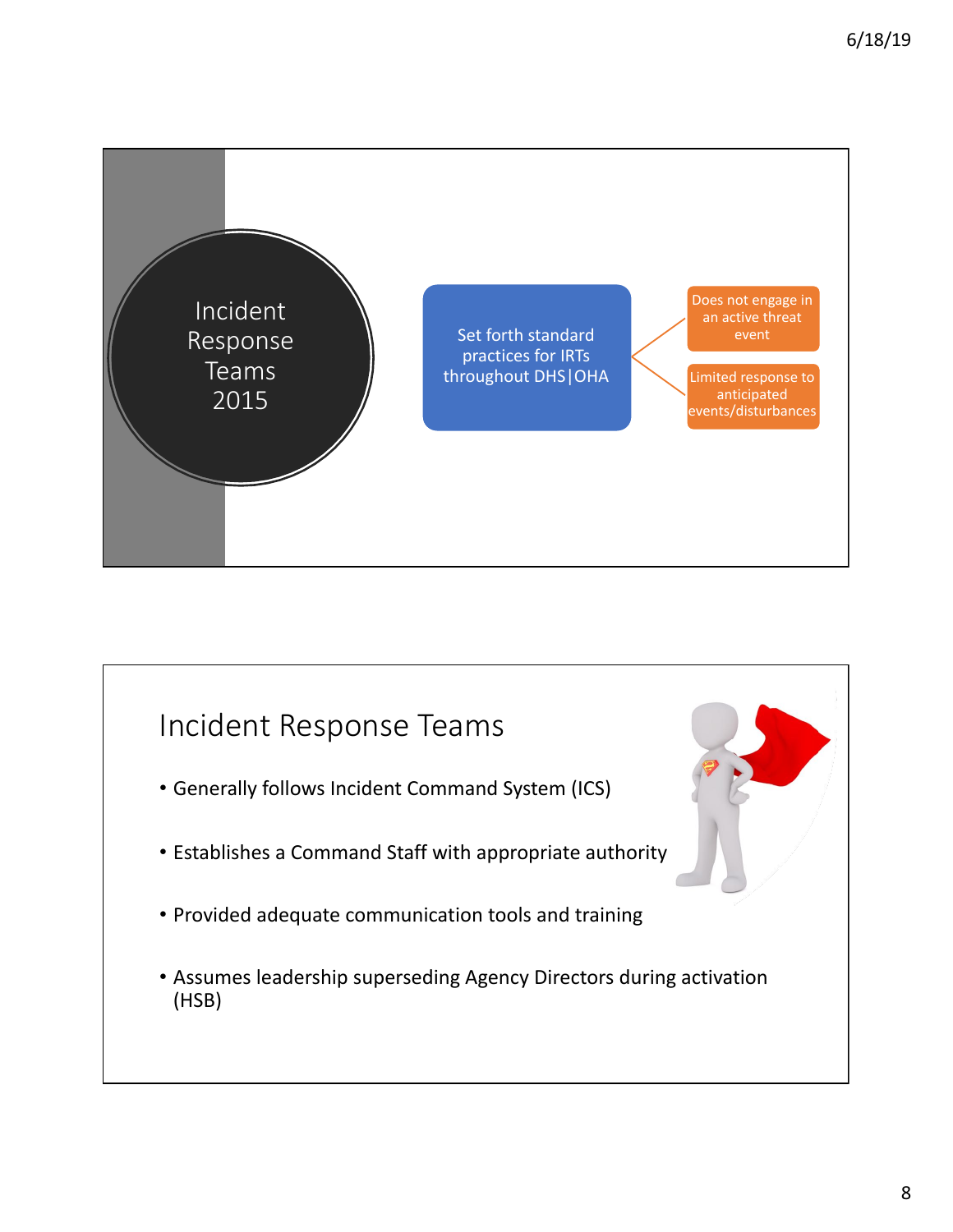

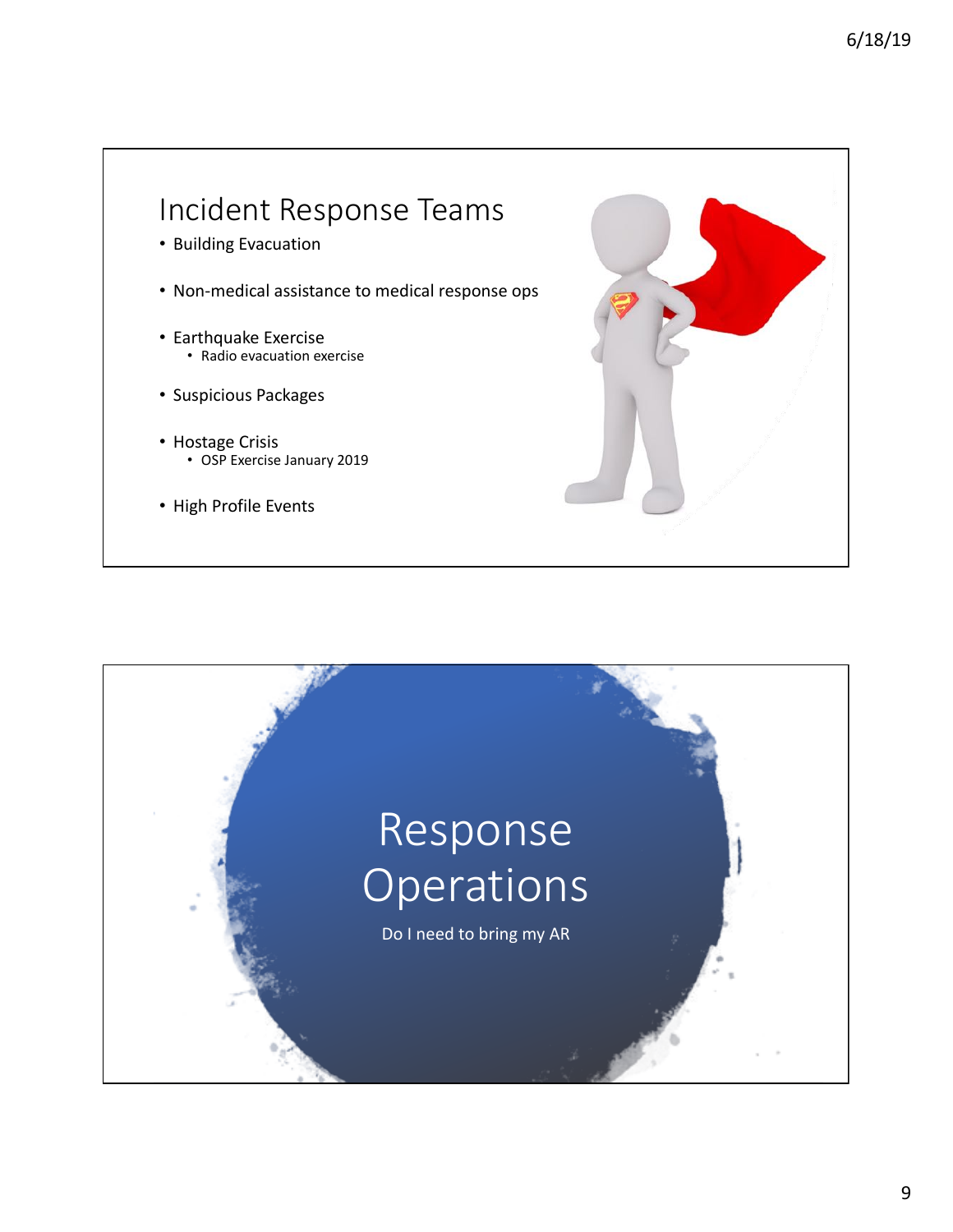## Incident Response Teams • Building Evacuation • Non-medical assistance to medical response ops • Earthquake Exercise • Radio evacuation exercise • Suspicious Packages • Hostage Crisis • OSP Exercise January 2019 • High Profile Events

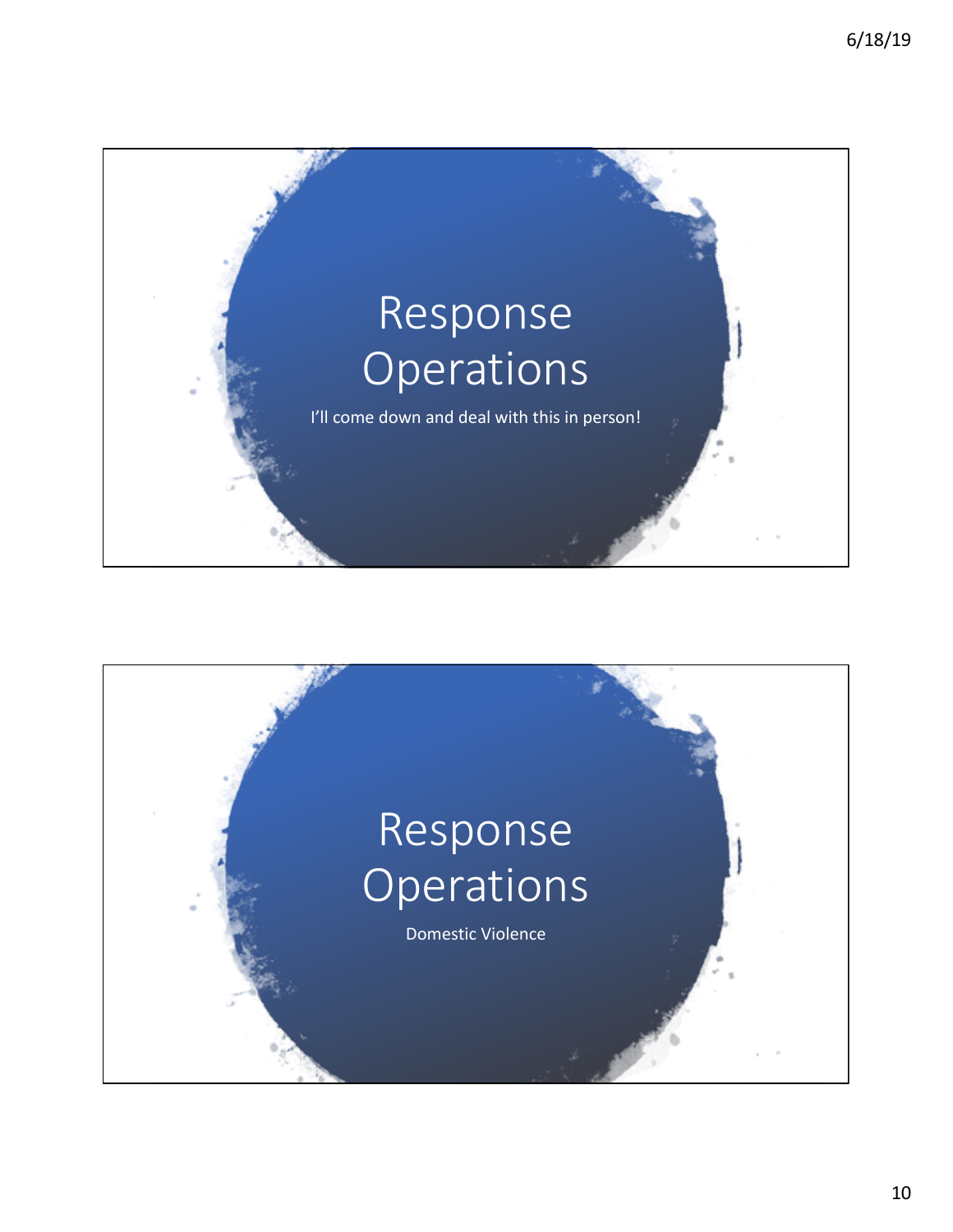

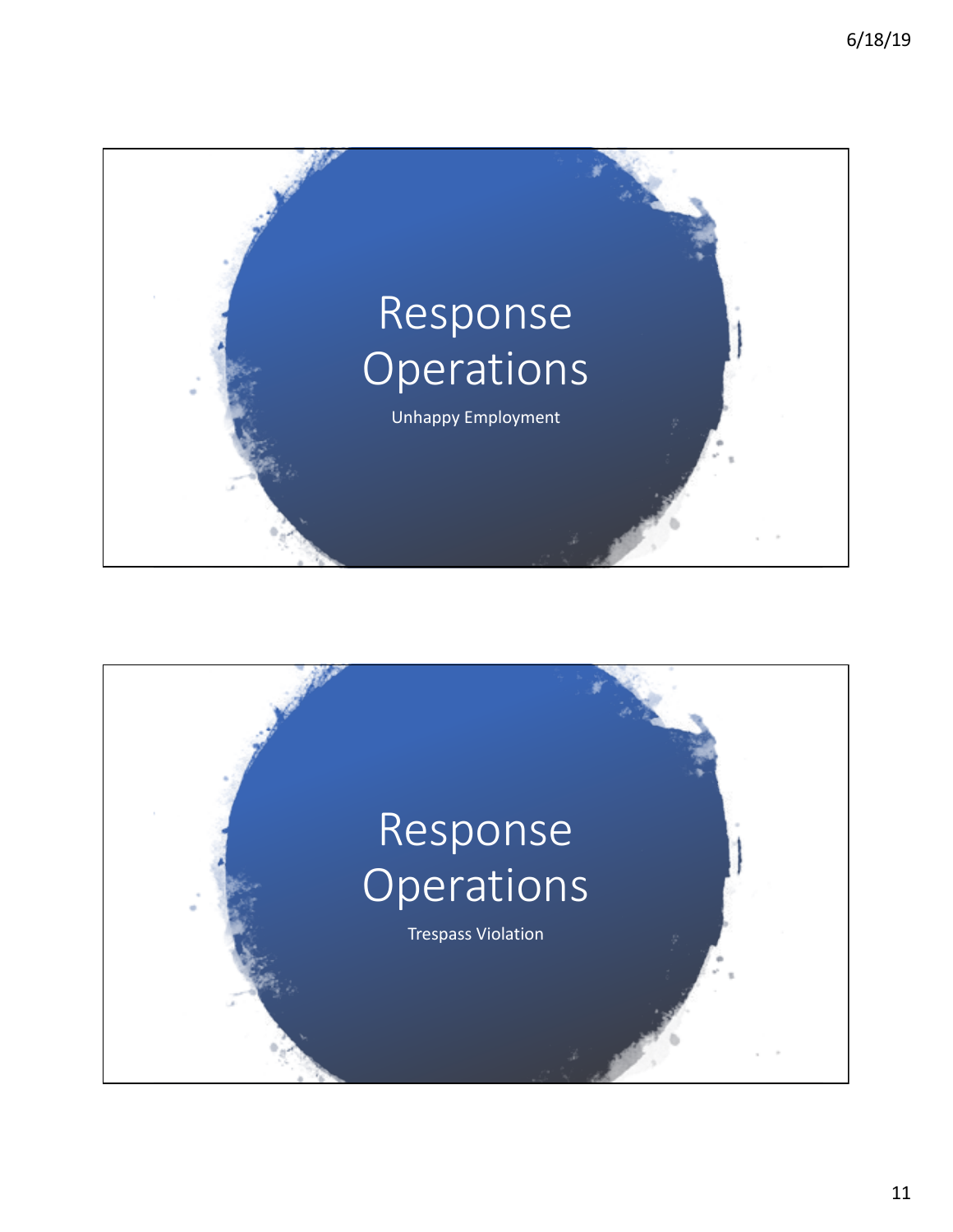